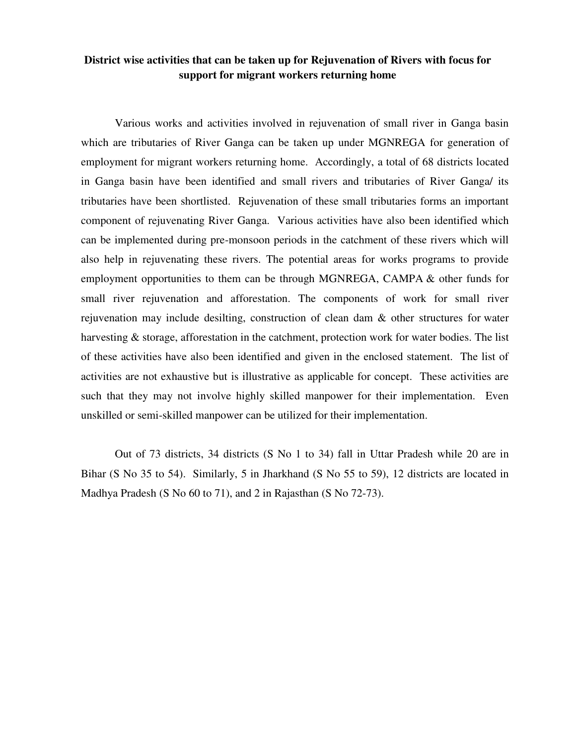## **District wise activities that can be taken up for Rejuvenation of Rivers with focus for support for migrant workers returning home**

Various works and activities involved in rejuvenation of small river in Ganga basin which are tributaries of River Ganga can be taken up under MGNREGA for generation of employment for migrant workers returning home. Accordingly, a total of 68 districts located in Ganga basin have been identified and small rivers and tributaries of River Ganga/ its tributaries have been shortlisted. Rejuvenation of these small tributaries forms an important component of rejuvenating River Ganga. Various activities have also been identified which can be implemented during pre-monsoon periods in the catchment of these rivers which will also help in rejuvenating these rivers. The potential areas for works programs to provide employment opportunities to them can be through MGNREGA, CAMPA & other funds for small river rejuvenation and afforestation. The components of work for small river rejuvenation may include desilting, construction of clean dam & other structures for water harvesting & storage, afforestation in the catchment, protection work for water bodies. The list of these activities have also been identified and given in the enclosed statement. The list of activities are not exhaustive but is illustrative as applicable for concept. These activities are such that they may not involve highly skilled manpower for their implementation. Even unskilled or semi-skilled manpower can be utilized for their implementation.

Out of 73 districts, 34 districts (S No 1 to 34) fall in Uttar Pradesh while 20 are in Bihar (S No 35 to 54). Similarly, 5 in Jharkhand (S No 55 to 59), 12 districts are located in Madhya Pradesh (S No 60 to 71), and 2 in Rajasthan (S No 72-73).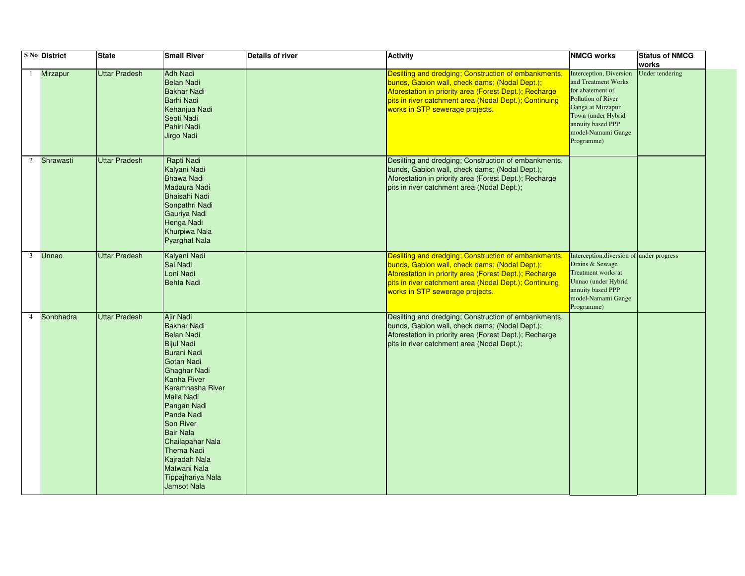|                | <b>S No District</b> | <b>State</b>         | <b>Small River</b>                                                                                                                                                                                                                                                                                                                                  | <b>Details of river</b> | <b>Activity</b>                                                                                                                                                                                                                                               | <b>NMCG works</b>                                                                                                                                                                            | <b>Status of NMCG</b><br>works |
|----------------|----------------------|----------------------|-----------------------------------------------------------------------------------------------------------------------------------------------------------------------------------------------------------------------------------------------------------------------------------------------------------------------------------------------------|-------------------------|---------------------------------------------------------------------------------------------------------------------------------------------------------------------------------------------------------------------------------------------------------------|----------------------------------------------------------------------------------------------------------------------------------------------------------------------------------------------|--------------------------------|
|                | <b>Mirzapur</b>      | <b>Uttar Pradesh</b> | Adh Nadi<br><b>Belan Nadi</b><br><b>Bakhar Nadi</b><br><b>Barhi Nadi</b><br>Kehanjua Nadi<br>Seoti Nadi<br>Pahiri Nadi<br><b>Jirgo Nadi</b>                                                                                                                                                                                                         |                         | Desilting and dredging; Construction of embankments,<br>bunds, Gabion wall, check dams; (Nodal Dept.);<br>Aforestation in priority area (Forest Dept.); Recharge<br>pits in river catchment area (Nodal Dept.); Continuing<br>works in STP sewerage projects. | Interception, Diversion<br>and Treatment Works<br>for abatement of<br>Pollution of River<br>Ganga at Mirzapur<br>Town (under Hybrid<br>annuity based PPP<br>model-Namami Gange<br>Programme) | <b>Under tendering</b>         |
| $\overline{2}$ | Shrawasti            | <b>Uttar Pradesh</b> | Rapti Nadi<br>Kalyani Nadi<br><b>Bhawa Nadi</b><br>Madaura Nadi<br><b>Bhaisahi Nadi</b><br>Sonpathri Nadi<br>Gauriya Nadi<br>Henga Nadi<br>Khurpiwa Nala<br>Pyarghat Nala                                                                                                                                                                           |                         | Desilting and dredging; Construction of embankments,<br>bunds, Gabion wall, check dams; (Nodal Dept.);<br>Aforestation in priority area (Forest Dept.); Recharge<br>pits in river catchment area (Nodal Dept.);                                               |                                                                                                                                                                                              |                                |
| $\mathfrak{Z}$ | Unnao                | <b>Uttar Pradesh</b> | Kalyani Nadi<br>Sai Nadi<br>Loni Nadi<br><b>Behta Nadi</b>                                                                                                                                                                                                                                                                                          |                         | Desilting and dredging; Construction of embankments,<br>bunds, Gabion wall, check dams; (Nodal Dept.);<br>Aforestation in priority area (Forest Dept.); Recharge<br>pits in river catchment area (Nodal Dept.); Continuing<br>works in STP sewerage projects. | Interception, diversion of under progress<br>Drains & Sewage<br>Treatment works at<br>Unnao (under Hybrid<br>annuity based PPP<br>model-Namami Gange<br>Programme)                           |                                |
| 4              | Sonbhadra            | Uttar Pradesh        | Ajir Nadi<br><b>Bakhar Nadi</b><br><b>Belan Nadi</b><br><b>Bijul Nadi</b><br><b>Burani Nadi</b><br>Gotan Nadi<br>Ghaghar Nadi<br>Kanha River<br>Karamnasha River<br>Malia Nadi<br>Pangan Nadi<br>Panda Nadi<br>Son River<br><b>Bair Nala</b><br>Chailapahar Nala<br>Thema Nadi<br>Kajradah Nala<br>Matwani Nala<br>Tippajhariya Nala<br>Jamsot Nala |                         | Desilting and dredging; Construction of embankments,<br>bunds, Gabion wall, check dams; (Nodal Dept.);<br>Aforestation in priority area (Forest Dept.); Recharge<br>pits in river catchment area (Nodal Dept.);                                               |                                                                                                                                                                                              |                                |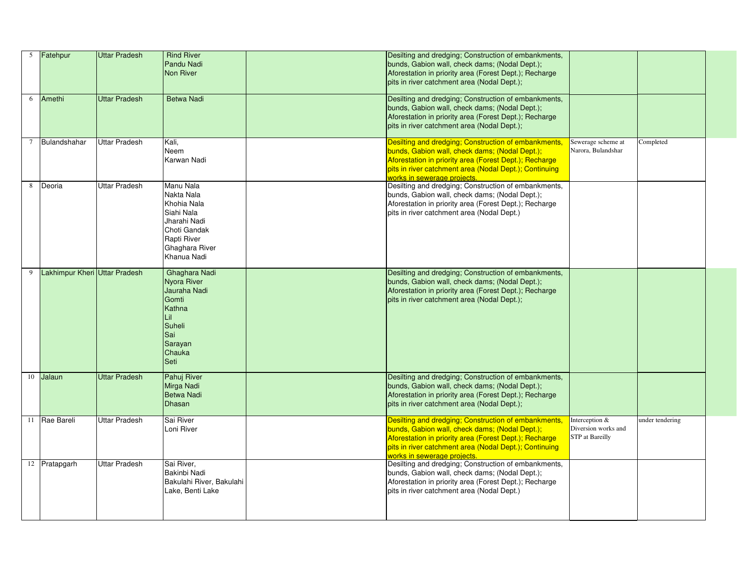| $\overline{5}$  | Fatehpur                      | Uttar Pradesh        | <b>Rind River</b><br><b>Pandu Nadi</b><br>Non River                                                                                  | Desilting and dredging; Construction of embankments,<br>bunds, Gabion wall, check dams; (Nodal Dept.);<br>Aforestation in priority area (Forest Dept.); Recharge<br>pits in river catchment area (Nodal Dept.);                                           |                                                                 |                 |
|-----------------|-------------------------------|----------------------|--------------------------------------------------------------------------------------------------------------------------------------|-----------------------------------------------------------------------------------------------------------------------------------------------------------------------------------------------------------------------------------------------------------|-----------------------------------------------------------------|-----------------|
| 6               | Amethi                        | <b>Uttar Pradesh</b> | <b>Betwa Nadi</b>                                                                                                                    | Desilting and dredging; Construction of embankments,<br>bunds, Gabion wall, check dams; (Nodal Dept.);<br>Aforestation in priority area (Forest Dept.); Recharge<br>pits in river catchment area (Nodal Dept.);                                           |                                                                 |                 |
| $7\phantom{.0}$ | Bulandshahar                  | <b>Uttar Pradesh</b> | Kali,<br>Neem<br><b>Karwan Nadi</b>                                                                                                  | Desilting and dredging; Construction of embankments,<br>bunds, Gabion wall, check dams; (Nodal Dept.);<br>Aforestation in priority area (Forest Dept.); Recharge<br>pits in river catchment area (Nodal Dept.); Continuing<br>works in sewerage projects. | Sewerage scheme at<br>Narora, Bulandshar                        | Completed       |
| 8               | Deoria                        | Uttar Pradesh        | Manu Nala<br>Nakta Nala<br>Khohia Nala<br>Siahi Nala<br>Jharahi Nadi<br>Choti Gandak<br>Rapti River<br>Ghaghara River<br>Khanua Nadi | Desilting and dredging; Construction of embankments,<br>bunds, Gabion wall, check dams; (Nodal Dept.);<br>Aforestation in priority area (Forest Dept.); Recharge<br>pits in river catchment area (Nodal Dept.)                                            |                                                                 |                 |
| 9               | Lakhimpur Kheri Uttar Pradesh |                      | Ghaghara Nadi<br>Nyora River<br>Jauraha Nadi<br>Gomti<br>Kathna<br> L  <br>Suheli<br>Sai<br>Sarayan<br>Chauka<br>Seti                | Desilting and dredging; Construction of embankments,<br>bunds, Gabion wall, check dams; (Nodal Dept.);<br>Aforestation in priority area (Forest Dept.); Recharge<br>pits in river catchment area (Nodal Dept.);                                           |                                                                 |                 |
| 10              | Jalaun                        | Uttar Pradesh        | Pahuj River<br>Mirga Nadi<br>Betwa Nadi<br>Dhasan                                                                                    | Desilting and dredging; Construction of embankments,<br>bunds, Gabion wall, check dams; (Nodal Dept.);<br>Aforestation in priority area (Forest Dept.); Recharge<br>pits in river catchment area (Nodal Dept.);                                           |                                                                 |                 |
| 11              | Rae Bareli                    | Uttar Pradesh        | Sai River<br>Loni River                                                                                                              | Desilting and dredging; Construction of embankments,<br>bunds, Gabion wall, check dams; (Nodal Dept.);<br>Aforestation in priority area (Forest Dept.); Recharge<br>pits in river catchment area (Nodal Dept.); Continuing<br>works in sewerage projects. | Interception &<br>Diversion works and<br><b>STP</b> at Bareilly | under tendering |
| 12              | Pratapgarh                    | Uttar Pradesh        | Sai River,<br>Bakinbi Nadi<br>Bakulahi River, Bakulahi<br>Lake, Benti Lake                                                           | Desilting and dredging; Construction of embankments,<br>bunds, Gabion wall, check dams; (Nodal Dept.);<br>Aforestation in priority area (Forest Dept.); Recharge<br>pits in river catchment area (Nodal Dept.)                                            |                                                                 |                 |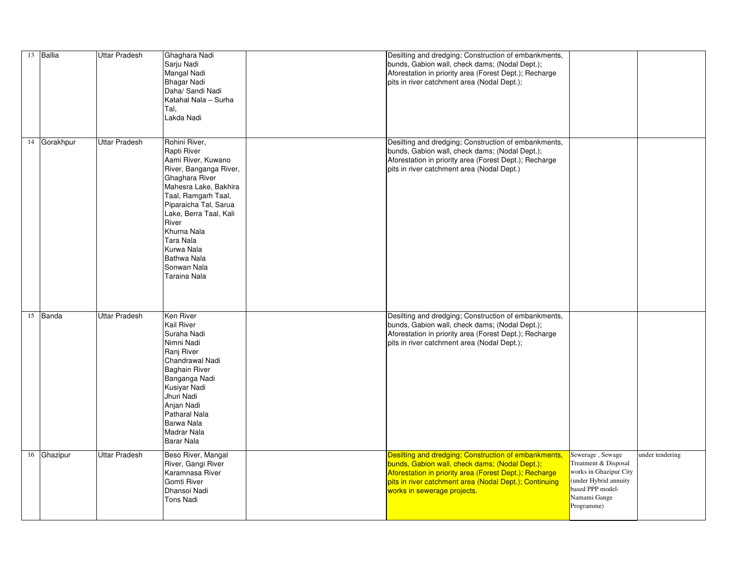| 13 Ballia        | <b>Uttar Pradesh</b> | Ghaghara Nadi<br>Sarju Nadi<br>Mangal Nadi<br>Bhagar Nadi<br>Daha/ Sandi Nadi<br>Katahal Nala - Surha<br>Tal,<br>Lakda Nadi                                                                                                                                                                               | Desilting and dredging; Construction of embankments,<br>bunds, Gabion wall, check dams; (Nodal Dept.);<br>Aforestation in priority area (Forest Dept.); Recharge<br>pits in river catchment area (Nodal Dept.);                                           |                                                                                                                                               |                 |
|------------------|----------------------|-----------------------------------------------------------------------------------------------------------------------------------------------------------------------------------------------------------------------------------------------------------------------------------------------------------|-----------------------------------------------------------------------------------------------------------------------------------------------------------------------------------------------------------------------------------------------------------|-----------------------------------------------------------------------------------------------------------------------------------------------|-----------------|
| 14 Gorakhpur     | Uttar Pradesh        | Rohini River,<br>Rapti River<br>Aami River, Kuwano<br>River, Banganga River,<br>Ghaghara River<br>Mahesra Lake, Bakhira<br>Taal, Ramgarh Taal,<br>Piparaicha Tal, Sarua<br>Lake, Berra Taal, Kali<br>River<br>Khurna Nala<br>Tara Nala<br>Kurwa Nala<br><b>Bathwa Nala</b><br>Sonwan Nala<br>Taraina Nala | Desilting and dredging; Construction of embankments,<br>bunds, Gabion wall, check dams; (Nodal Dept.);<br>Aforestation in priority area (Forest Dept.); Recharge<br>pits in river catchment area (Nodal Dept.)                                            |                                                                                                                                               |                 |
| 15 $\vert$ Banda | <b>Uttar Pradesh</b> | Ken River<br><b>Kail River</b><br>Suraha Nadi<br>Nimni Nadi<br>Ranj River<br>Chandrawal Nadi<br><b>Baghain River</b><br>Banganga Nadi<br>Kusiyar Nadi<br>Jhuri Nadi<br>Anjan Nadi<br><b>Patharal Nala</b><br>Barwa Nala<br><b>Madrar Nala</b><br>Barar Nala                                               | Desilting and dredging; Construction of embankments,<br>bunds, Gabion wall, check dams; (Nodal Dept.);<br>Aforestation in priority area (Forest Dept.); Recharge<br>pits in river catchment area (Nodal Dept.);                                           |                                                                                                                                               |                 |
| 16 Ghazipur      | Uttar Pradesh        | Beso River, Mangal<br>River, Gangi River<br>Karamnasa River<br><b>Gomti River</b><br>Dhansoi Nadi<br><b>Tons Nadi</b>                                                                                                                                                                                     | Desilting and dredging; Construction of embankments,<br>bunds, Gabion wall, check dams; (Nodal Dept.);<br>Aforestation in priority area (Forest Dept.); Recharge<br>pits in river catchment area (Nodal Dept.); Continuing<br>works in sewerage projects. | Sewerage, Sewage<br>Treatment & Disposal<br>works in Ghazipur City<br>(under Hybrid annuity<br>based PPP model-<br>Namami Gange<br>Programme) | under tendering |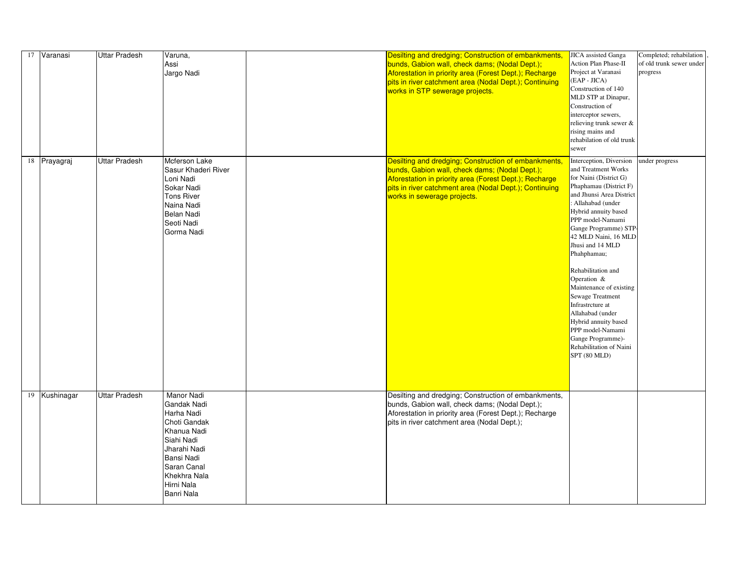| 17   Varanasi | <b>Uttar Pradesh</b> | Varuna,<br>Assi<br>Jargo Nadi                                                                                                                                                               | JICA assisted Ganga<br>Desilting and dredging; Construction of embankments,<br>Action Plan Phase-II<br>bunds, Gabion wall, check dams; (Nodal Dept.);<br>Project at Varanasi<br>Aforestation in priority area (Forest Dept.); Recharge<br>$(EAP - JICA)$<br>pits in river catchment area (Nodal Dept.); Continuing<br>Construction of 140<br>works in STP sewerage projects.<br>MLD STP at Dinapur,<br>Construction of<br>interceptor sewers,<br>relieving trunk sewer &<br>rising mains and<br>rehabilation of old trunk<br>sewer                                                                                                                                                                                                                                                                  | Completed; rehabilation<br>of old trunk sewer under<br>progress |
|---------------|----------------------|---------------------------------------------------------------------------------------------------------------------------------------------------------------------------------------------|-----------------------------------------------------------------------------------------------------------------------------------------------------------------------------------------------------------------------------------------------------------------------------------------------------------------------------------------------------------------------------------------------------------------------------------------------------------------------------------------------------------------------------------------------------------------------------------------------------------------------------------------------------------------------------------------------------------------------------------------------------------------------------------------------------|-----------------------------------------------------------------|
| 18 Prayagraj  | <b>Uttar Pradesh</b> | Mcferson Lake<br>Sasur Khaderi River<br>Loni Nadi<br>Sokar Nadi<br><b>Tons River</b><br>Naina Nadi<br>Belan Nadi<br>Seoti Nadi<br>Gorma Nadi                                                | Desilting and dredging; Construction of embankments,<br>Interception, Diversion<br>and Treatment Works<br>bunds, Gabion wall, check dams; (Nodal Dept.);<br>for Naini (District G)<br>Aforestation in priority area (Forest Dept.); Recharge<br>Phaphamau (District F)<br>pits in river catchment area (Nodal Dept.); Continuing<br>and Jhunsi Area District<br>works in sewerage projects.<br>: Allahabad (under<br>Hybrid annuity based<br>PPP model-Namami<br>Gange Programme) STP-<br>42 MLD Naini, 16 MLD<br>Jhusi and 14 MLD<br>Phahphamau;<br>Rehabilitation and<br>Operation $\&$<br>Maintenance of existing<br><b>Sewage Treatment</b><br>Infrastrcture at<br>Allahabad (under<br>Hybrid annuity based<br>PPP model-Namami<br>Gange Programme)-<br>Rehabilitation of Naini<br>SPT (80 MLD) | under progress                                                  |
| 19 Kushinagar | <b>Uttar Pradesh</b> | <b>Manor Nadi</b><br>Gandak Nadi<br>Harha Nadi<br>Choti Gandak<br>Khanua Nadi<br>Siahi Nadi<br>Jharahi Nadi<br><b>Bansi Nadi</b><br>Saran Canal<br>Khekhra Nala<br>Hirni Nala<br>Banri Nala | Desilting and dredging; Construction of embankments,<br>bunds, Gabion wall, check dams; (Nodal Dept.);<br>Aforestation in priority area (Forest Dept.); Recharge<br>pits in river catchment area (Nodal Dept.);                                                                                                                                                                                                                                                                                                                                                                                                                                                                                                                                                                                     |                                                                 |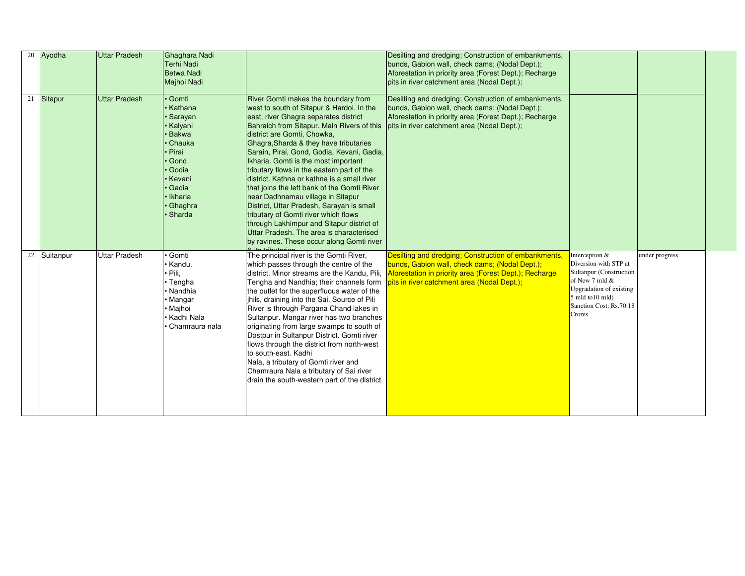|    | 20 Ayodha | <b>Uttar Pradesh</b> | Ghaghara Nadi     |                                               | Desilting and dredging; Construction of embankments,   |                                |                |  |
|----|-----------|----------------------|-------------------|-----------------------------------------------|--------------------------------------------------------|--------------------------------|----------------|--|
|    |           |                      | <b>Terhi Nadi</b> |                                               | bunds, Gabion wall, check dams; (Nodal Dept.);         |                                |                |  |
|    |           |                      | <b>Betwa Nadi</b> |                                               | Aforestation in priority area (Forest Dept.); Recharge |                                |                |  |
|    |           |                      | Majhoi Nadi       |                                               | pits in river catchment area (Nodal Dept.);            |                                |                |  |
| 21 | Sitapur   | <b>Uttar Pradesh</b> | Gomti             | <b>River Gomti makes the boundary from</b>    | Desilting and dredging; Construction of embankments,   |                                |                |  |
|    |           |                      | Kathana           | west to south of Sitapur & Hardoi. In the     | bunds, Gabion wall, check dams; (Nodal Dept.);         |                                |                |  |
|    |           |                      | Sarayan           | east, river Ghagra separates district         | Aforestation in priority area (Forest Dept.); Recharge |                                |                |  |
|    |           |                      | Kalyani           | Bahraich from Sitapur. Main Rivers of this    | pits in river catchment area (Nodal Dept.);            |                                |                |  |
|    |           |                      | <b>Bakwa</b>      | district are Gomti, Chowka,                   |                                                        |                                |                |  |
|    |           |                      | Chauka            | Ghagra, Sharda & they have tributaries        |                                                        |                                |                |  |
|    |           |                      | Pirai             | Sarain, Pirai, Gond, Godia, Kevani, Gadia,    |                                                        |                                |                |  |
|    |           |                      | Gond              | Ikharia. Gomti is the most important          |                                                        |                                |                |  |
|    |           |                      | Godia             | tributary flows in the eastern part of the    |                                                        |                                |                |  |
|    |           |                      | Kevani            | district. Kathna or kathna is a small river   |                                                        |                                |                |  |
|    |           |                      | Gadia             | that joins the left bank of the Gomti River   |                                                        |                                |                |  |
|    |           |                      | <b>Ikharia</b>    | near Dadhnamau village in Sitapur             |                                                        |                                |                |  |
|    |           |                      | Ghaghra           | District, Uttar Pradesh, Sarayan is small     |                                                        |                                |                |  |
|    |           |                      | Sharda            | tributary of Gomti river which flows          |                                                        |                                |                |  |
|    |           |                      |                   | through Lakhimpur and Sitapur district of     |                                                        |                                |                |  |
|    |           |                      |                   | Uttar Pradesh. The area is characterised      |                                                        |                                |                |  |
|    |           |                      |                   | by ravines. These occur along Gomti river     |                                                        |                                |                |  |
|    |           |                      |                   |                                               |                                                        |                                |                |  |
| 22 | Sultanpur | <b>Jttar Pradesh</b> | Gomti             | The principal river is the Gomti River,       | Desilting and dredging; Construction of embankments,   | Interception &                 | under progress |  |
|    |           |                      | Kandu,            | which passes through the centre of the        | bunds, Gabion wall, check dams; (Nodal Dept.);         | Diversion with STP at          |                |  |
|    |           |                      | Pili,             | district. Minor streams are the Kandu, Pili,  | Aforestation in priority area (Forest Dept.); Recharge | <b>Sultanpur</b> (Construction |                |  |
|    |           |                      | • Tengha          | Tengha and Nandhia; their channels form       | pits in river catchment area (Nodal Dept.);            | of New 7 mld $&$               |                |  |
|    |           |                      | Nandhia           | the outlet for the superfluous water of the   |                                                        | <b>Upgradation of existing</b> |                |  |
|    |           |                      | Mangar            | jhils, draining into the Sai. Source of Pili  |                                                        | 5 mld to10 mld)                |                |  |
|    |           |                      | Majhoi            | River is through Pargana Chand lakes in       |                                                        | Sanction Cost: Rs.70.18        |                |  |
|    |           |                      | Kadhi Nala        | Sultanpur. Mangar river has two branches      |                                                        | Crores                         |                |  |
|    |           |                      | Chamraura nala    | originating from large swamps to south of     |                                                        |                                |                |  |
|    |           |                      |                   | Dostpur in Sultanpur District. Gomti river    |                                                        |                                |                |  |
|    |           |                      |                   | flows through the district from north-west    |                                                        |                                |                |  |
|    |           |                      |                   | to south-east. Kadhi                          |                                                        |                                |                |  |
|    |           |                      |                   | Nala, a tributary of Gomti river and          |                                                        |                                |                |  |
|    |           |                      |                   | Chamraura Nala a tributary of Sai river       |                                                        |                                |                |  |
|    |           |                      |                   | drain the south-western part of the district. |                                                        |                                |                |  |
|    |           |                      |                   |                                               |                                                        |                                |                |  |
|    |           |                      |                   |                                               |                                                        |                                |                |  |
|    |           |                      |                   |                                               |                                                        |                                |                |  |
|    |           |                      |                   |                                               |                                                        |                                |                |  |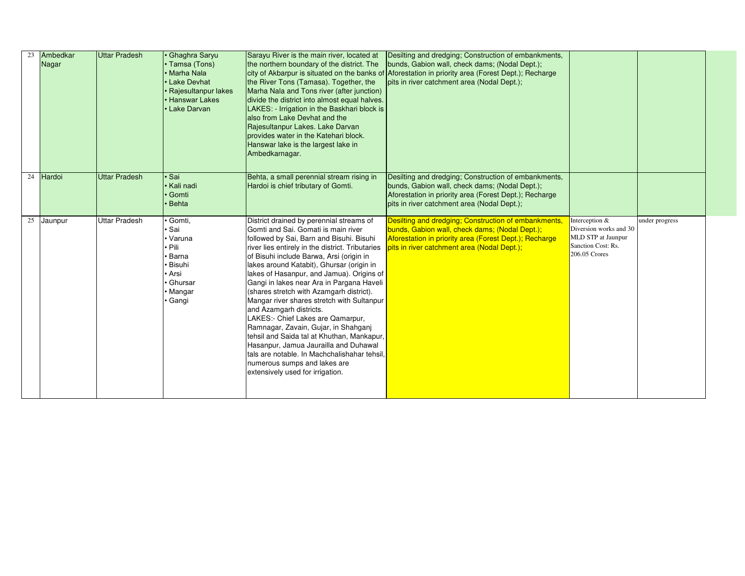| 23 | Ambedkar<br>Nagar | <b>Uttar Pradesh</b> | <b>Ghaghra Saryu</b><br>• Tamsa (Tons)<br>Marha Nala<br><b>Lake Devhat</b><br>Rajesultanpur lakes<br><b>Hanswar Lakes</b><br>Lake Darvan | Sarayu River is the main river, located at<br>the northern boundary of the district. The<br>the River Tons (Tamasa). Together, the<br>Marha Nala and Tons river (after junction)<br>divide the district into almost equal halves.<br>LAKES: - Irrigation in the Baskhari block is<br>also from Lake Devhat and the<br>Rajesultanpur Lakes. Lake Darvan<br>provides water in the Katehari block.<br>Hanswar lake is the largest lake in<br>Ambedkarnagar.                                                                                                                                                                                                                                                                                                                         | Desilting and dredging; Construction of embankments,<br>bunds, Gabion wall, check dams; (Nodal Dept.);<br>city of Akbarpur is situated on the banks of Aforestation in priority area (Forest Dept.); Recharge<br>pits in river catchment area (Nodal Dept.); |                                                                                                         |                |  |
|----|-------------------|----------------------|------------------------------------------------------------------------------------------------------------------------------------------|----------------------------------------------------------------------------------------------------------------------------------------------------------------------------------------------------------------------------------------------------------------------------------------------------------------------------------------------------------------------------------------------------------------------------------------------------------------------------------------------------------------------------------------------------------------------------------------------------------------------------------------------------------------------------------------------------------------------------------------------------------------------------------|--------------------------------------------------------------------------------------------------------------------------------------------------------------------------------------------------------------------------------------------------------------|---------------------------------------------------------------------------------------------------------|----------------|--|
| 24 | Hardoi            | <b>Uttar Pradesh</b> | Sai<br><b>Kali nadi</b><br>Gomti<br><b>Behta</b>                                                                                         | Behta, a small perennial stream rising in<br>Hardoi is chief tributary of Gomti.                                                                                                                                                                                                                                                                                                                                                                                                                                                                                                                                                                                                                                                                                                 | Desilting and dredging; Construction of embankments,<br>bunds, Gabion wall, check dams; (Nodal Dept.);<br>Aforestation in priority area (Forest Dept.); Recharge<br>pits in river catchment area (Nodal Dept.);                                              |                                                                                                         |                |  |
| 25 | Jaunpur           | <b>Uttar Pradesh</b> | Gomti,<br>Sai<br>Varuna<br>Pili<br><b>Barna</b><br><b>Bisuhi</b><br>Arsi ›<br>Ghursar<br>Mangar<br>Gangi                                 | District drained by perennial streams of<br>Gomti and Sai. Gomati is main river<br>followed by Sai, Barn and Bisuhi. Bisuhi<br>river lies entirely in the district. Tributaries<br>of Bisuhi include Barwa, Arsi (origin in<br>lakes around Katabit), Ghursar (origin in<br>lakes of Hasanpur, and Jamua). Origins of<br>Gangi in lakes near Ara in Pargana Haveli<br>(shares stretch with Azamgarh district).<br>Mangar river shares stretch with Sultanpur<br>and Azamgarh districts.<br>LAKES:- Chief Lakes are Qamarpur,<br>Ramnagar, Zavain, Gujar, in Shahganj<br>tehsil and Saida tal at Khuthan, Mankapur,<br>Hasanpur, Jamua Jaurailla and Duhawal<br>Itals are notable. In Machchalishahar tehsil,<br>numerous sumps and lakes are<br>extensively used for irrigation. | Desilting and dredging; Construction of embankments,<br>bunds, Gabion wall, check dams; (Nodal Dept.);<br>Aforestation in priority area (Forest Dept.); Recharge<br>pits in river catchment area (Nodal Dept.);                                              | Interception $&$<br>Diversion works and 30<br>MLD STP at Jaunpur<br>Sanction Cost: Rs.<br>206.05 Crores | under progress |  |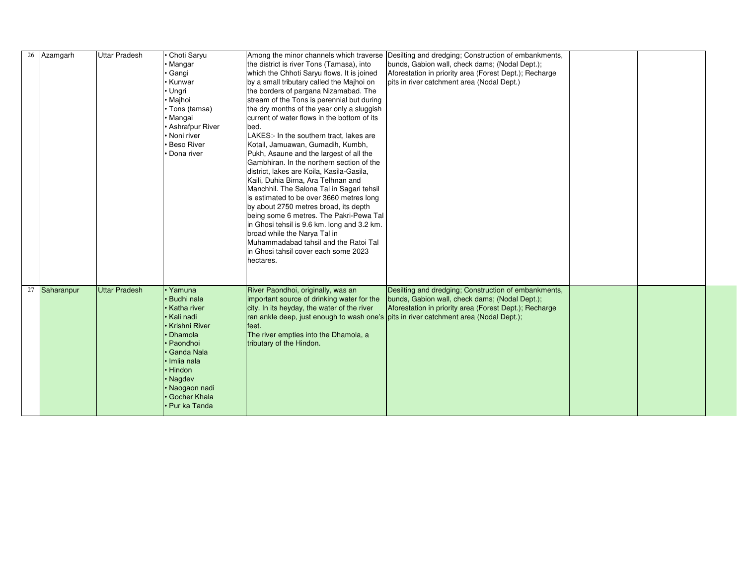| 26 Azamgarh   | Uttar Pradesh        | Choti Saryu<br>• Mangar<br>∙ Gangi<br>∙ Kunwar<br>• Ungri<br>• Majhoi<br>• Tons (tamsa)<br>• Mangai<br>• Ashrafpur River<br>Noni river<br><b>Beso River</b><br>Dona river | Among the minor channels which traverse<br>the district is river Tons (Tamasa), into<br>which the Chhoti Saryu flows. It is joined<br>by a small tributary called the Majhoi on<br>the borders of pargana Nizamabad. The<br>stream of the Tons is perennial but during<br>the dry months of the year only a sluggish<br>current of water flows in the bottom of its<br>bed.<br>LAKES:- In the southern tract, lakes are<br>Kotail, Jamuawan, Gumadih, Kumbh,<br>Pukh, Asaune and the largest of all the<br>Gambhiran. In the northern section of the<br>district, lakes are Koila, Kasila-Gasila,<br>Kaili, Duhia Birna, Ara Telhnan and<br>Manchhil. The Salona Tal in Sagari tehsil<br>is estimated to be over 3660 metres long<br>by about 2750 metres broad, its depth<br>being some 6 metres. The Pakri-Pewa Tal<br>in Ghosi tehsil is 9.6 km. long and 3.2 km. | Desilting and dredging; Construction of embankments,<br>bunds, Gabion wall, check dams; (Nodal Dept.);<br>Aforestation in priority area (Forest Dept.); Recharge<br>pits in river catchment area (Nodal Dept.) |  |  |
|---------------|----------------------|---------------------------------------------------------------------------------------------------------------------------------------------------------------------------|----------------------------------------------------------------------------------------------------------------------------------------------------------------------------------------------------------------------------------------------------------------------------------------------------------------------------------------------------------------------------------------------------------------------------------------------------------------------------------------------------------------------------------------------------------------------------------------------------------------------------------------------------------------------------------------------------------------------------------------------------------------------------------------------------------------------------------------------------------------------|----------------------------------------------------------------------------------------------------------------------------------------------------------------------------------------------------------------|--|--|
| 27 Saharanpur | <b>Uttar Pradesh</b> | • Yamuna<br><b>Budhi nala</b><br>Katha river<br>• Kali nadi<br>• Krishni River<br><b>Dhamola</b><br>• Paondhoi<br>• Ganda Nala                                            | broad while the Narya Tal in<br>Muhammadabad tahsil and the Ratoi Tal<br>in Ghosi tahsil cover each some 2023<br>hectares.<br>River Paondhoi, originally, was an<br>important source of drinking water for the<br>city. In its heyday, the water of the river<br>ran ankle deep, just enough to wash one's pits in river catchment area (Nodal Dept.);<br>feet.<br>The river empties into the Dhamola, a<br>tributary of the Hindon.                                                                                                                                                                                                                                                                                                                                                                                                                                 | Desilting and dredging; Construction of embankments,<br>bunds, Gabion wall, check dams; (Nodal Dept.);<br>Aforestation in priority area (Forest Dept.); Recharge                                               |  |  |
|               |                      | • Imlia nala<br>• Hindon<br>• Nagdev<br>• Naogaon nadi<br>• Gocher Khala<br>• Pur ka Tanda                                                                                |                                                                                                                                                                                                                                                                                                                                                                                                                                                                                                                                                                                                                                                                                                                                                                                                                                                                      |                                                                                                                                                                                                                |  |  |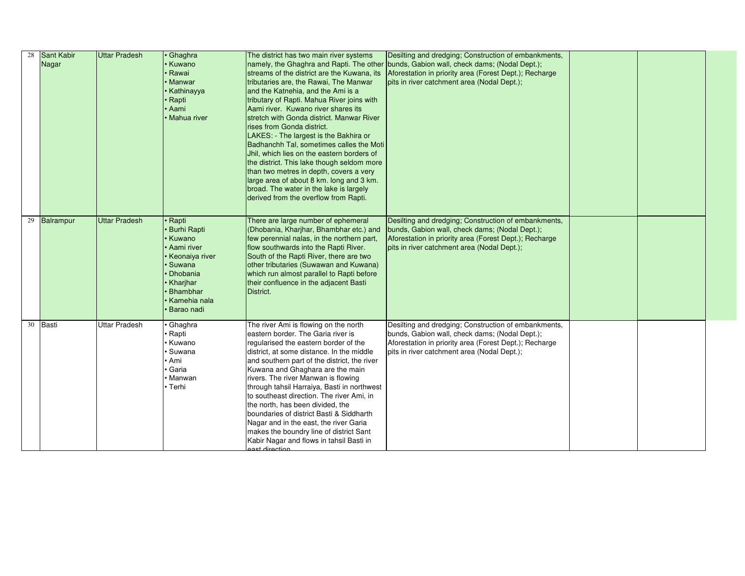| 28 | Sant Kabir   | <b>Uttar Pradesh</b> | Ghaghra             | The district has two main river systems                    | Desilting and dredging; Construction of embankments,                                    |  |  |
|----|--------------|----------------------|---------------------|------------------------------------------------------------|-----------------------------------------------------------------------------------------|--|--|
|    | Nagar        |                      | √ Kuwano            |                                                            | namely, the Ghaghra and Rapti. The other bunds, Gabion wall, check dams; (Nodal Dept.); |  |  |
|    |              |                      | <sup>,</sup> Rawai  | streams of the district are the Kuwana, its                | Aforestation in priority area (Forest Dept.); Recharge                                  |  |  |
|    |              |                      | <b>Manwar</b>       | tributaries are, the Rawai, The Manwar                     | pits in river catchment area (Nodal Dept.);                                             |  |  |
|    |              |                      | √ Kathinayya        | and the Katnehia, and the Ami is a                         |                                                                                         |  |  |
|    |              |                      | ∤ Rapti             | tributary of Rapti. Mahua River joins with                 |                                                                                         |  |  |
|    |              |                      | Aami                | Aami river. Kuwano river shares its                        |                                                                                         |  |  |
|    |              |                      | <b>Mahua river</b>  | stretch with Gonda district. Manwar River                  |                                                                                         |  |  |
|    |              |                      |                     | rises from Gonda district.                                 |                                                                                         |  |  |
|    |              |                      |                     | LAKES: - The largest is the Bakhira or                     |                                                                                         |  |  |
|    |              |                      |                     | Badhanchh Tal, sometimes calles the Moti                   |                                                                                         |  |  |
|    |              |                      |                     | Jhil, which lies on the eastern borders of                 |                                                                                         |  |  |
|    |              |                      |                     | the district. This lake though seldom more                 |                                                                                         |  |  |
|    |              |                      |                     | than two metres in depth, covers a very                    |                                                                                         |  |  |
|    |              |                      |                     | large area of about 8 km. long and 3 km.                   |                                                                                         |  |  |
|    |              |                      |                     | broad. The water in the lake is largely                    |                                                                                         |  |  |
|    |              |                      |                     | derived from the overflow from Rapti.                      |                                                                                         |  |  |
|    |              |                      |                     |                                                            |                                                                                         |  |  |
|    | 29 Balrampur | <b>Uttar Pradesh</b> | Rapti               | There are large number of ephemeral                        | Desilting and dredging; Construction of embankments,                                    |  |  |
|    |              |                      | <b>Burhi Rapti</b>  | (Dhobania, Kharjhar, Bhambhar etc.) and                    | bunds, Gabion wall, check dams; (Nodal Dept.);                                          |  |  |
|    |              |                      | <b>Kuwano</b>       | few perennial nalas, in the northern part,                 | Aforestation in priority area (Forest Dept.); Recharge                                  |  |  |
|    |              |                      | Aami river          | flow southwards into the Rapti River.                      | pits in river catchment area (Nodal Dept.);                                             |  |  |
|    |              |                      | ∙ Keonaiya river    | South of the Rapti River, there are two                    |                                                                                         |  |  |
|    |              |                      | <b>Suwana</b>       | other tributaries (Suwawan and Kuwana)                     |                                                                                         |  |  |
|    |              |                      | <b>Dhobania</b>     | which run almost parallel to Rapti before                  |                                                                                         |  |  |
|    |              |                      | <b>Kharjhar</b>     | their confluence in the adjacent Basti                     |                                                                                         |  |  |
|    |              |                      | Bhambhar            | District.                                                  |                                                                                         |  |  |
|    |              |                      | <b>Kamehia nala</b> |                                                            |                                                                                         |  |  |
|    |              |                      | <b>Barao</b> nadi   |                                                            |                                                                                         |  |  |
|    |              |                      |                     |                                                            |                                                                                         |  |  |
| 30 | Basti        | <b>Uttar Pradesh</b> | Ghaghra             | The river Ami is flowing on the north                      | Desilting and dredging; Construction of embankments,                                    |  |  |
|    |              |                      | <sup>,</sup> Rapti  | eastern border. The Garia river is                         | bunds, Gabion wall, check dams; (Nodal Dept.);                                          |  |  |
|    |              |                      | Kuwano              | regularised the eastern border of the                      | Aforestation in priority area (Forest Dept.); Recharge                                  |  |  |
|    |              |                      | <b>Suwana</b>       | district, at some distance. In the middle                  | pits in river catchment area (Nodal Dept.);                                             |  |  |
|    |              |                      | ∙ Ami               | and southern part of the district, the river               |                                                                                         |  |  |
|    |              |                      | Garia               | Kuwana and Ghaghara are the main                           |                                                                                         |  |  |
|    |              |                      | ∙ Manwan            | rivers. The river Manwan is flowing                        |                                                                                         |  |  |
|    |              |                      | • Terhi             | through tahsil Harraiya, Basti in northwest                |                                                                                         |  |  |
|    |              |                      |                     | to southeast direction. The river Ami, in                  |                                                                                         |  |  |
|    |              |                      |                     | the north, has been divided, the                           |                                                                                         |  |  |
|    |              |                      |                     | boundaries of district Basti & Siddharth                   |                                                                                         |  |  |
|    |              |                      |                     | Nagar and in the east, the river Garia                     |                                                                                         |  |  |
|    |              |                      |                     | makes the boundry line of district Sant                    |                                                                                         |  |  |
|    |              |                      |                     | Kabir Nagar and flows in tahsil Basti in<br>aast direction |                                                                                         |  |  |
|    |              |                      |                     |                                                            |                                                                                         |  |  |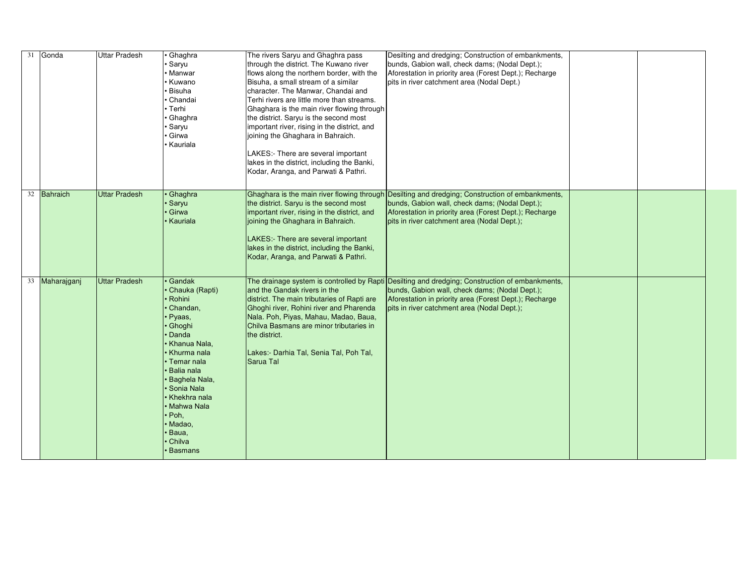| 31 Gonda       | <b>Uttar Pradesh</b> | Ghaghra<br>Saryu<br>Manwar<br>Kuwano<br><b>Bisuha</b><br>Chandai<br>• Terhi<br>Ghaghra<br>Saryu<br>Girwa                                                                                                                                                                                | The rivers Saryu and Ghaghra pass<br>through the district. The Kuwano river<br>flows along the northern border, with the<br>Bisuha, a small stream of a similar<br>character. The Manwar, Chandai and<br>Terhi rivers are little more than streams.<br>Ghaghara is the main river flowing through<br>the district. Saryu is the second most<br>important river, rising in the district, and<br>joining the Ghaghara in Bahraich. | Desilting and dredging; Construction of embankments,<br>bunds, Gabion wall, check dams; (Nodal Dept.);<br>Aforestation in priority area (Forest Dept.); Recharge<br>pits in river catchment area (Nodal Dept.)                                             |  |  |
|----------------|----------------------|-----------------------------------------------------------------------------------------------------------------------------------------------------------------------------------------------------------------------------------------------------------------------------------------|----------------------------------------------------------------------------------------------------------------------------------------------------------------------------------------------------------------------------------------------------------------------------------------------------------------------------------------------------------------------------------------------------------------------------------|------------------------------------------------------------------------------------------------------------------------------------------------------------------------------------------------------------------------------------------------------------|--|--|
|                |                      | Kauriala                                                                                                                                                                                                                                                                                | LAKES:- There are several important<br>lakes in the district, including the Banki,<br>Kodar, Aranga, and Parwati & Pathri.                                                                                                                                                                                                                                                                                                       |                                                                                                                                                                                                                                                            |  |  |
| 32 Bahraich    | <b>Uttar Pradesh</b> | Ghaghra<br><sub>'</sub> Saryu<br>Girwa<br><b>Kauriala</b>                                                                                                                                                                                                                               | the district. Saryu is the second most<br>important river, rising in the district, and<br>joining the Ghaghara in Bahraich.<br>LAKES:- There are several important<br>lakes in the district, including the Banki,<br>Kodar, Aranga, and Parwati & Pathri.                                                                                                                                                                        | Ghaghara is the main river flowing through Desilting and dredging; Construction of embankments,<br>bunds, Gabion wall, check dams; (Nodal Dept.);<br>Aforestation in priority area (Forest Dept.); Recharge<br>pits in river catchment area (Nodal Dept.); |  |  |
| 33 Maharajganj | <b>Uttar Pradesh</b> | Gandak<br>Chauka (Rapti)<br>Rohini<br>Chandan,<br>∣• Pyaas,<br>Ghoghi<br>Danda<br>• Khanua Nala,<br>• Khurma nala<br>l• Temar nala<br>Balia nala<br><b>Baghela Nala,</b><br>Sonia Nala<br>• Khekhra nala<br>• Mahwa Nala<br>$\cdot$ Poh,<br>Madao,<br>Baua,<br>Chilva<br><b>Basmans</b> | and the Gandak rivers in the<br>district. The main tributaries of Rapti are<br>Ghoghi river, Rohini river and Pharenda<br>Nala. Poh, Piyas, Mahau, Madao, Baua,<br>Chilva Basmans are minor tributaries in<br>the district.<br>Lakes:- Darhia Tal, Senia Tal, Poh Tal,<br>Sarua Tal                                                                                                                                              | The drainage system is controlled by Rapti Desilting and dredging; Construction of embankments,<br>bunds, Gabion wall, check dams; (Nodal Dept.);<br>Aforestation in priority area (Forest Dept.); Recharge<br>pits in river catchment area (Nodal Dept.); |  |  |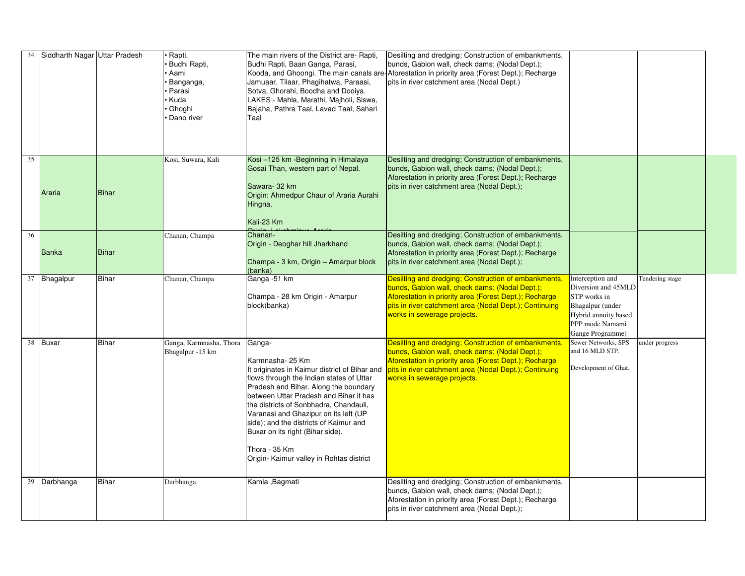|    | 34 Siddharth Nagar Uttar Pradesh |              | Rapti,<br><b>Budhi Rapti</b> ,<br>Aami<br>Banganga,<br>Parasi<br>Kuda<br>Ghoghi<br>Dano river | The main rivers of the District are- Rapti,<br>Budhi Rapti, Baan Ganga, Parasi,<br>Jamuaar, Tilaar, Phagihatwa, Paraasi,<br>Sotva, Ghorahi, Boodha and Dooiya.<br>LAKES:- Mahla, Marathi, Majholi, Siswa,<br>Bajaha, Pathra Taal, Lavad Taal, Sahari<br>Taal                                                                                                                           | Desilting and dredging; Construction of embankments,<br>bunds, Gabion wall, check dams; (Nodal Dept.);<br>Kooda, and Ghoongi. The main canals are Aforestation in priority area (Forest Dept.); Recharge<br>pits in river catchment area (Nodal Dept.)                                                   |                                                                                                                                            |                 |
|----|----------------------------------|--------------|-----------------------------------------------------------------------------------------------|----------------------------------------------------------------------------------------------------------------------------------------------------------------------------------------------------------------------------------------------------------------------------------------------------------------------------------------------------------------------------------------|----------------------------------------------------------------------------------------------------------------------------------------------------------------------------------------------------------------------------------------------------------------------------------------------------------|--------------------------------------------------------------------------------------------------------------------------------------------|-----------------|
| 35 | Araria                           | Bihar        | Kosi, Suwara, Kali                                                                            | Kosi-125 km - Beginning in Himalaya<br>Gosai Than, western part of Nepal.<br>Sawara-32 km<br>Origin: Ahmedpur Chaur of Araria Aurahi<br>Hingna.<br>Kali-23 Km                                                                                                                                                                                                                          | Desilting and dredging; Construction of embankments,<br>bunds, Gabion wall, check dams; (Nodal Dept.);<br>Aforestation in priority area (Forest Dept.); Recharge<br>pits in river catchment area (Nodal Dept.);                                                                                          |                                                                                                                                            |                 |
| 36 | Banka                            | Bihar        | Chanan, Champa                                                                                | Chanan-<br>Origin - Deoghar hill Jharkhand<br>Champa - 3 km, Origin - Amarpur block<br>(banka)                                                                                                                                                                                                                                                                                         | Desilting and dredging; Construction of embankments,<br>bunds, Gabion wall, check dams; (Nodal Dept.);<br>Aforestation in priority area (Forest Dept.); Recharge<br>pits in river catchment area (Nodal Dept.);                                                                                          |                                                                                                                                            |                 |
|    | 37 Bhagalpur                     | Bihar        | Chanan, Champa                                                                                | Ganga -51 km<br>Champa - 28 km Origin - Amarpur<br>block(banka)                                                                                                                                                                                                                                                                                                                        | Desilting and dredging; Construction of embankments,<br>bunds, Gabion wall, check dams; (Nodal Dept.);<br>Aforestation in priority area (Forest Dept.); Recharge<br>pits in river catchment area (Nodal Dept.); Continuing<br>works in sewerage projects.                                                | Interception and<br>Diversion and 45MLD<br>STP works in<br>Bhagalpur (under<br>Hybrid annuity based<br>PPP mode Namami<br>Gange Programme) | Tendering stage |
|    | 38 Buxar                         | <b>Bihar</b> | Ganga, Karmnasha, Thora<br>Bhagalpur -15 km                                                   | Ganga-<br>Karmnasha-25 Km<br>flows through the Indian states of Uttar<br>Pradesh and Bihar. Along the boundary<br>between Uttar Pradesh and Bihar it has<br>the districts of Sonbhadra, Chandauli,<br>Varanasi and Ghazipur on its left (UP<br>side); and the districts of Kaimur and<br>Buxar on its right (Bihar side).<br>Thora - 35 Km<br>Origin- Kaimur valley in Rohtas district | Desilting and dredging; Construction of embankments,<br>bunds, Gabion wall, check dams; (Nodal Dept.);<br>Aforestation in priority area (Forest Dept.); Recharge<br>It originates in Kaimur district of Bihar and Inits in river catchment area (Nodal Dept.); Continuing<br>works in sewerage projects. | Sewer Networks, SPS<br>and 16 MLD STP.<br>Development of Ghat.                                                                             | under progress  |
|    | 39 Darbhanga                     | <b>Bihar</b> | Darbhanga                                                                                     | Kamla , Bagmati                                                                                                                                                                                                                                                                                                                                                                        | Desilting and dredging; Construction of embankments,<br>bunds, Gabion wall, check dams; (Nodal Dept.);<br>Aforestation in priority area (Forest Dept.); Recharge<br>pits in river catchment area (Nodal Dept.);                                                                                          |                                                                                                                                            |                 |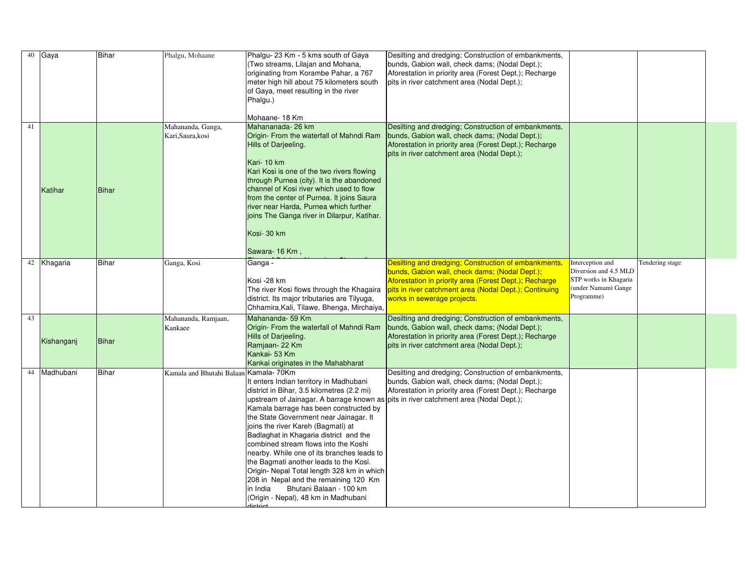|    | $40$ Gaya   | <b>Bihar</b> | Phalgu, Mohaane                        | Phalgu- 23 Km - 5 kms south of Gaya<br>(Two streams, Lilajan and Mohana,<br>originating from Korambe Pahar, a 767<br>meter high hill about 75 kilometers south<br>of Gaya, meet resulting in the river<br>Phalgu.)<br>Mohaane-18 Km                                                                                                                                                                                                                                                                                                                                            | Desilting and dredging; Construction of embankments,<br>bunds, Gabion wall, check dams; (Nodal Dept.);<br>Aforestation in priority area (Forest Dept.); Recharge<br>pits in river catchment area (Nodal Dept.);                                           |                                                                                                         |                 |  |
|----|-------------|--------------|----------------------------------------|--------------------------------------------------------------------------------------------------------------------------------------------------------------------------------------------------------------------------------------------------------------------------------------------------------------------------------------------------------------------------------------------------------------------------------------------------------------------------------------------------------------------------------------------------------------------------------|-----------------------------------------------------------------------------------------------------------------------------------------------------------------------------------------------------------------------------------------------------------|---------------------------------------------------------------------------------------------------------|-----------------|--|
| 41 | Katihar     | Bihar        | Mahananda, Ganga,<br>Kari, Saura, kosi | Mahananada-26 km<br>Origin- From the waterfall of Mahndi Ram<br>Hills of Darjeeling.<br>Kari-10 km<br>Kari Kosi is one of the two rivers flowing<br>through Purnea (city). It is the abandoned<br>channel of Kosi river which used to flow<br>from the center of Purnea. It joins Saura<br>river near Harda, Purnea which further<br>joins The Ganga river in Dilarpur, Katihar.<br>Kosi- 30 km<br>Sawara-16 Km,                                                                                                                                                               | Desilting and dredging; Construction of embankments,<br>bunds, Gabion wall, check dams; (Nodal Dept.);<br>Aforestation in priority area (Forest Dept.); Recharge<br>pits in river catchment area (Nodal Dept.);                                           |                                                                                                         |                 |  |
|    | 42 Khagaria | <b>Bihar</b> | Ganga, Kosi                            | Ganga -<br>Kosi-28 km<br>The river Kosi flows through the Khagaira<br>district. Its major tributaries are Tilyuga,<br>Chhamira, Kali, Tilawe, Bhenga, Mirchaiya,                                                                                                                                                                                                                                                                                                                                                                                                               | Desilting and dredging; Construction of embankments,<br>bunds, Gabion wall, check dams; (Nodal Dept.);<br>Aforestation in priority area (Forest Dept.); Recharge<br>pits in river catchment area (Nodal Dept.); Continuing<br>works in sewerage projects. | Interception and<br>Diversion and 4.5 MLD<br>STP works in Khagaria<br>(under Namami Gange<br>Programme) | Tendering stage |  |
| 43 | Kishanganj  | Bihar        | Mahananda, Ramjaan,<br>Kankaee         | Mahananda- 59 Km<br>Origin- From the waterfall of Mahndi Ram<br>Hills of Darjeeling.<br>Ramjaan-22 Km<br>Kankai- 53 Km<br>Kankai originates in the Mahabharat                                                                                                                                                                                                                                                                                                                                                                                                                  | Desilting and dredging; Construction of embankments,<br>bunds, Gabion wall, check dams; (Nodal Dept.);<br>Aforestation in priority area (Forest Dept.); Recharge<br>pits in river catchment area (Nodal Dept.);                                           |                                                                                                         |                 |  |
| 44 | Madhubani   | <b>Bihar</b> | Kamala and Bhutahi Balaan Kamala-70Km  | It enters Indian territory in Madhubani<br>district in Bihar, 3.5 kilometres (2.2 mi)<br>Kamala barrage has been constructed by<br>the State Government near Jainagar. It<br>joins the river Kareh (Bagmati) at<br>Badlaghat in Khagaria district and the<br>combined stream flows into the Koshi<br>Inearby. While one of its branches leads to<br>the Bagmati another leads to the Kosi.<br>Origin- Nepal Total length 328 km in which<br>208 in Nepal and the remaining 120 Km<br>Bhutani Balaan - 100 km<br>lin India<br>(Origin - Nepal), 48 km in Madhubani<br>dietriot. | Desilting and dredging; Construction of embankments,<br>bunds, Gabion wall, check dams; (Nodal Dept.);<br>Aforestation in priority area (Forest Dept.); Recharge<br> upstream of Jainagar. A barrage known as pits in river catchment area (Nodal Dept.); |                                                                                                         |                 |  |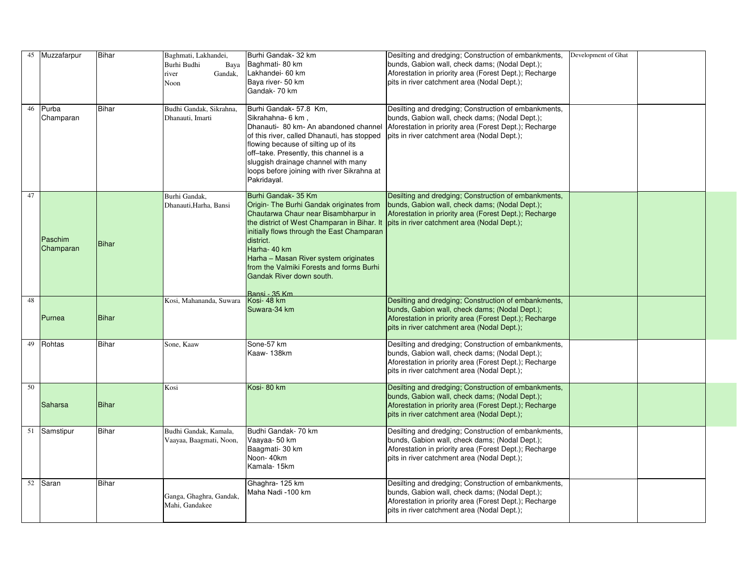|    | 45 Muzzafarpur            | <b>Bihar</b> | Baghmati, Lakhandei,<br>Burhi Budhi<br>Baya<br>Gandak,<br>river<br>Noon | Burhi Gandak- 32 km<br>Baghmati-80 km<br>Lakhandei- 60 km<br>Baya river- 50 km<br>Gandak- 70 km                                                                                                                                                                                                                                                                     | Desilting and dredging; Construction of embankments,<br>bunds, Gabion wall, check dams; (Nodal Dept.);<br>Aforestation in priority area (Forest Dept.); Recharge<br>pits in river catchment area (Nodal Dept.); | Development of Ghat |  |
|----|---------------------------|--------------|-------------------------------------------------------------------------|---------------------------------------------------------------------------------------------------------------------------------------------------------------------------------------------------------------------------------------------------------------------------------------------------------------------------------------------------------------------|-----------------------------------------------------------------------------------------------------------------------------------------------------------------------------------------------------------------|---------------------|--|
| 46 | Purba<br><b>Champaran</b> | <b>Bihar</b> | Budhi Gandak, Sikrahna,<br>Dhanauti, Imarti                             | Burhi Gandak- 57.8 Km,<br>Sikrahahna- 6 km,<br>Dhanauti- 80 km- An abandoned channel<br>of this river, called Dhanauti, has stopped<br>flowing because of silting up of its<br>off-take. Presently, this channel is a<br>sluggish drainage channel with many<br>loops before joining with river Sikrahna at<br>Pakridayal.                                          | Desilting and dredging; Construction of embankments,<br>bunds, Gabion wall, check dams; (Nodal Dept.);<br>Aforestation in priority area (Forest Dept.); Recharge<br>pits in river catchment area (Nodal Dept.); |                     |  |
| 47 | Paschim<br>Champaran      | <b>Bihar</b> | Burhi Gandak,<br>Dhanauti, Harha, Bansi                                 | Burhi Gandak- 35 Km<br>Origin- The Burhi Gandak originates from<br>Chautarwa Chaur near Bisambharpur in<br>the district of West Champaran in Bihar. It<br>initially flows through the East Champaran<br>district.<br>Harha- 40 km<br>Harha - Masan River system originates<br>from the Valmiki Forests and forms Burhi<br>Gandak River down south.<br>Bansi - 35 Km | Desilting and dredging; Construction of embankments,<br>bunds, Gabion wall, check dams; (Nodal Dept.);<br>Aforestation in priority area (Forest Dept.); Recharge<br>pits in river catchment area (Nodal Dept.); |                     |  |
| 48 | Purnea                    | <b>Bihar</b> | Kosi, Mahananda, Suwara                                                 | Kosi-48 km<br>Suwara-34 km                                                                                                                                                                                                                                                                                                                                          | Desilting and dredging; Construction of embankments,<br>bunds, Gabion wall, check dams; (Nodal Dept.);<br>Aforestation in priority area (Forest Dept.); Recharge<br>pits in river catchment area (Nodal Dept.); |                     |  |
|    | $\overline{49}$ Rohtas    | <b>Bihar</b> | Sone, Kaaw                                                              | Sone-57 km<br>Kaaw-138km                                                                                                                                                                                                                                                                                                                                            | Desilting and dredging; Construction of embankments,<br>bunds, Gabion wall, check dams; (Nodal Dept.);<br>Aforestation in priority area (Forest Dept.); Recharge<br>pits in river catchment area (Nodal Dept.); |                     |  |
| 50 | Saharsa                   | <b>Bihar</b> | Kosi                                                                    | Kosi-80 km                                                                                                                                                                                                                                                                                                                                                          | Desilting and dredging; Construction of embankments,<br>bunds, Gabion wall, check dams; (Nodal Dept.);<br>Aforestation in priority area (Forest Dept.); Recharge<br>pits in river catchment area (Nodal Dept.); |                     |  |
|    | 51 Samstipur              | <b>Bihar</b> | Budhi Gandak, Kamala,<br>Vaayaa, Baagmati, Noon,                        | Budhi Gandak- 70 km<br>Vaayaa- 50 km<br>Baagmati- 30 km<br>Noon-40km<br>Kamala-15km                                                                                                                                                                                                                                                                                 | Desilting and dredging; Construction of embankments,<br>bunds, Gabion wall, check dams; (Nodal Dept.);<br>Aforestation in priority area (Forest Dept.); Recharge<br>pits in river catchment area (Nodal Dept.); |                     |  |
|    | 52 Saran                  | <b>Bihar</b> | Ganga, Ghaghra, Gandak,<br>Mahi, Gandakee                               | Ghaghra-125 km<br>Maha Nadi -100 km                                                                                                                                                                                                                                                                                                                                 | Desilting and dredging; Construction of embankments,<br>bunds, Gabion wall, check dams; (Nodal Dept.);<br>Aforestation in priority area (Forest Dept.); Recharge<br>pits in river catchment area (Nodal Dept.); |                     |  |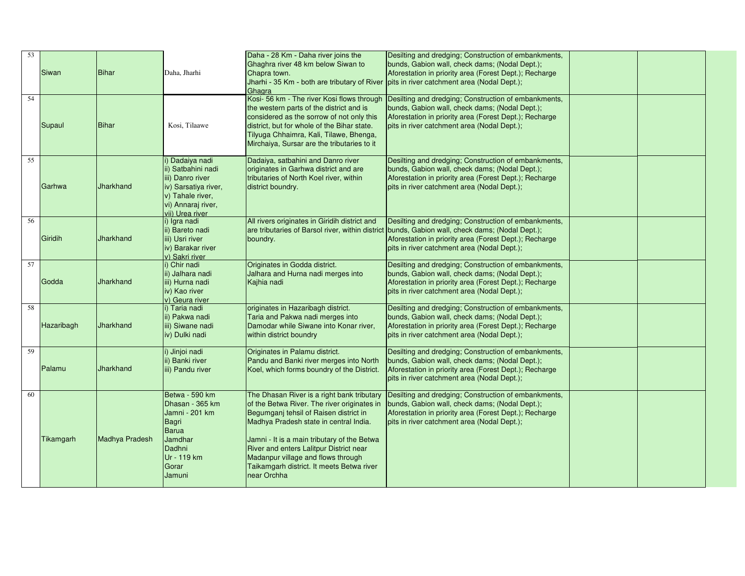| 53<br>54 | Siwan<br>Supaul   | <b>Bihar</b><br>Bihar | Daha, Jharhi<br>Kosi, Tilaawe                                                                                                               | Daha - 28 Km - Daha river joins the<br>Ghaghra river 48 km below Siwan to<br>Chapra town.<br>Jharhi - 35 Km - both are tributary of River<br>Ghagra<br>Kosi- 56 km - The river Kosi flows through<br>the western parts of the district and is<br>considered as the sorrow of not only this<br>district, but for whole of the Bihar state.                                        | Desilting and dredging; Construction of embankments,<br>bunds, Gabion wall, check dams; (Nodal Dept.);<br>Aforestation in priority area (Forest Dept.); Recharge<br>pits in river catchment area (Nodal Dept.);<br>Desilting and dredging; Construction of embankments,<br>bunds, Gabion wall, check dams; (Nodal Dept.);<br>Aforestation in priority area (Forest Dept.); Recharge<br>pits in river catchment area (Nodal Dept.); |  |  |
|----------|-------------------|-----------------------|---------------------------------------------------------------------------------------------------------------------------------------------|----------------------------------------------------------------------------------------------------------------------------------------------------------------------------------------------------------------------------------------------------------------------------------------------------------------------------------------------------------------------------------|------------------------------------------------------------------------------------------------------------------------------------------------------------------------------------------------------------------------------------------------------------------------------------------------------------------------------------------------------------------------------------------------------------------------------------|--|--|
|          |                   |                       |                                                                                                                                             | Tilyuga Chhaimra, Kali, Tilawe, Bhenga,<br>Mirchaiya, Sursar are the tributaries to it                                                                                                                                                                                                                                                                                           |                                                                                                                                                                                                                                                                                                                                                                                                                                    |  |  |
| 55       | Garhwa            | <b>Jharkhand</b>      | Dadaiya nadi<br>ii) Satbahini nadi<br>iii) Danro river<br>iv) Sarsatiya river,<br>v) Tahale river,<br>vi) Annaraj river,<br>vii) Urea river | Dadaiya, satbahini and Danro river<br>originates in Garhwa district and are<br>tributaries of North Koel river, within<br>district boundry.                                                                                                                                                                                                                                      | Desilting and dredging; Construction of embankments,<br>bunds, Gabion wall, check dams; (Nodal Dept.);<br>Aforestation in priority area (Forest Dept.); Recharge<br>pits in river catchment area (Nodal Dept.);                                                                                                                                                                                                                    |  |  |
| 56       | Giridih           | <b>Jharkhand</b>      | i) Igra nadi<br>ii) Bareto nadi<br>iii) Usri river<br>iv) Barakar river<br>v) Sakri river                                                   | All rivers originates in Giridih district and<br>are tributaries of Barsol river, within district<br>boundry.                                                                                                                                                                                                                                                                    | Desilting and dredging; Construction of embankments,<br>bunds, Gabion wall, check dams; (Nodal Dept.);<br>Aforestation in priority area (Forest Dept.); Recharge<br>pits in river catchment area (Nodal Dept.);                                                                                                                                                                                                                    |  |  |
| 57       | Godda             | <b>Jharkhand</b>      | i) Chir nadi<br>ii) Jalhara nadi<br>iii) Hurna nadi<br>iv) Kao river<br>v) Geura river                                                      | Originates in Godda district.<br>Jalhara and Hurna nadi merges into<br>Kajhia nadi                                                                                                                                                                                                                                                                                               | Desilting and dredging; Construction of embankments,<br>bunds, Gabion wall, check dams; (Nodal Dept.);<br>Aforestation in priority area (Forest Dept.); Recharge<br>pits in river catchment area (Nodal Dept.);                                                                                                                                                                                                                    |  |  |
| 58       | <b>Hazaribagh</b> | Jharkhand             | ) Taria nadi<br>ii) Pakwa nadi<br>liii) Siwane nadi<br>iv) Dulki nadi                                                                       | originates in Hazaribagh district.<br>Taria and Pakwa nadi merges into<br>Damodar while Siwane into Konar river,<br>within district boundry                                                                                                                                                                                                                                      | Desilting and dredging; Construction of embankments,<br>bunds, Gabion wall, check dams; (Nodal Dept.);<br>Aforestation in priority area (Forest Dept.); Recharge<br>pits in river catchment area (Nodal Dept.);                                                                                                                                                                                                                    |  |  |
| 59       | Palamu            | <b>Jharkhand</b>      | ) Jinjoi nadi<br>ii) Banki river<br>iii) Pandu river                                                                                        | Originates in Palamu district.<br>Pandu and Banki river merges into North<br>Koel, which forms boundry of the District.                                                                                                                                                                                                                                                          | Desilting and dredging; Construction of embankments,<br>bunds, Gabion wall, check dams; (Nodal Dept.);<br>Aforestation in priority area (Forest Dept.); Recharge<br>pits in river catchment area (Nodal Dept.);                                                                                                                                                                                                                    |  |  |
| 60       | Tikamgarh         | Madhya Pradesh        | Betwa - 590 km<br>Dhasan - 365 km<br>Jamni - 201 km<br>Bagri<br>Barua<br>Jamdhar<br>Dadhni<br>Ur - 119 km<br>Gorar<br>Jamuni                | The Dhasan River is a right bank tributary<br>of the Betwa River. The river originates in<br>Begumganj tehsil of Raisen district in<br>Madhya Pradesh state in central India.<br>Jamni - It is a main tributary of the Betwa<br><b>River and enters Lalitpur District near</b><br>Madanpur village and flows through<br>Taikamgarh district. It meets Betwa river<br>near Orchha | Desilting and dredging; Construction of embankments,<br>bunds, Gabion wall, check dams; (Nodal Dept.);<br>Aforestation in priority area (Forest Dept.); Recharge<br>pits in river catchment area (Nodal Dept.);                                                                                                                                                                                                                    |  |  |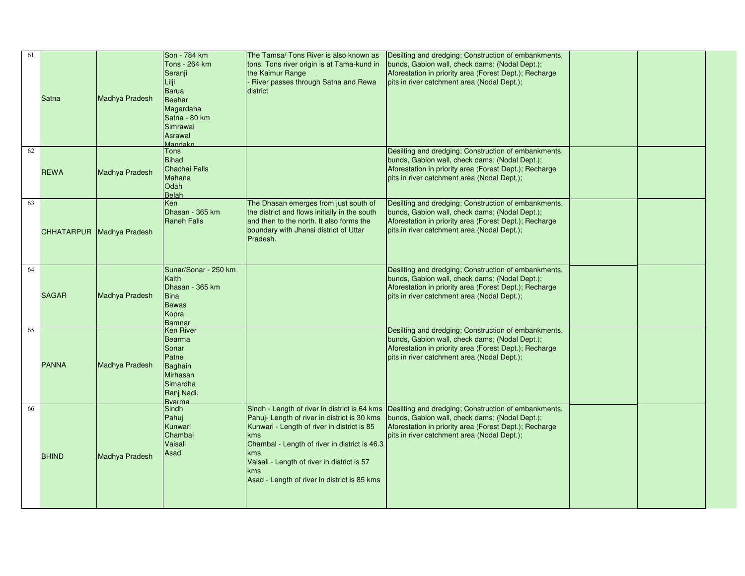| 61 | Satna        | Madhya Pradesh            | Son - 784 km<br>Tons - 264 km<br>Seranji<br>Barua<br><b>Beehar</b><br>Magardaha<br>Satna - 80 km<br>Simrawal<br>Asrawal<br><b>Mandakn</b> | The Tamsa/ Tons River is also known as<br>tons. Tons river origin is at Tama-kund in<br>the Kaimur Range<br>River passes through Satna and Rewa<br>district                                                                                                                                 | Desilting and dredging; Construction of embankments,<br>bunds, Gabion wall, check dams; (Nodal Dept.);<br>Aforestation in priority area (Forest Dept.); Recharge<br>pits in river catchment area (Nodal Dept.);                                               |  |
|----|--------------|---------------------------|-------------------------------------------------------------------------------------------------------------------------------------------|---------------------------------------------------------------------------------------------------------------------------------------------------------------------------------------------------------------------------------------------------------------------------------------------|---------------------------------------------------------------------------------------------------------------------------------------------------------------------------------------------------------------------------------------------------------------|--|
| 62 | <b>REWA</b>  | Madhya Pradesh            | Tons<br>Bihad<br>Chachai Falls<br>Mahana<br><b>Odah</b><br><b>Belah</b>                                                                   |                                                                                                                                                                                                                                                                                             | Desilting and dredging; Construction of embankments,<br>bunds, Gabion wall, check dams; (Nodal Dept.);<br>Aforestation in priority area (Forest Dept.); Recharge<br>pits in river catchment area (Nodal Dept.);                                               |  |
| 63 |              | CHHATARPUR Madhya Pradesh | Ken<br>Dhasan - 365 km<br><b>Raneh Falls</b>                                                                                              | The Dhasan emerges from just south of<br>the district and flows initially in the south<br>and then to the north. It also forms the<br>boundary with Jhansi district of Uttar<br>Pradesh.                                                                                                    | Desilting and dredging; Construction of embankments,<br>bunds, Gabion wall, check dams; (Nodal Dept.);<br>Aforestation in priority area (Forest Dept.); Recharge<br>pits in river catchment area (Nodal Dept.);                                               |  |
| 64 | <b>SAGAR</b> | Madhya Pradesh            | Sunar/Sonar - 250 km<br>Kaith<br>Dhasan - 365 km<br><b>Bina</b><br>Bewas<br>Kopra<br>Bamnar                                               |                                                                                                                                                                                                                                                                                             | Desilting and dredging; Construction of embankments,<br>bunds, Gabion wall, check dams; (Nodal Dept.);<br>Aforestation in priority area (Forest Dept.); Recharge<br>pits in river catchment area (Nodal Dept.);                                               |  |
| 65 | <b>PANNA</b> | Madhya Pradesh            | <b>Ken River</b><br>Bearma<br>Sonar<br>Patne<br>Baghain<br>Mirhasan<br>Simardha<br>Ranj Nadi.<br><b>Byarma</b>                            |                                                                                                                                                                                                                                                                                             | Desilting and dredging; Construction of embankments,<br>bunds, Gabion wall, check dams; (Nodal Dept.);<br>Aforestation in priority area (Forest Dept.); Recharge<br>pits in river catchment area (Nodal Dept.);                                               |  |
| 66 | <b>BHIND</b> | Madhya Pradesh            | Sindh<br>Pahuj<br>Kunwari<br>Chambal<br>Vaisali<br>Asad                                                                                   | Pahuj- Length of river in district is 30 kms<br>Kunwari - Length of river in district is 85<br><b>Ikms</b><br>Chambal - Length of river in district is 46.3<br><u>lkms</u><br>Vaisali - Length of river in district is 57<br>$\mathsf{kms}$<br>Asad - Length of river in district is 85 kms | Sindh - Length of river in district is 64 kms Desilting and dredging; Construction of embankments,<br>bunds, Gabion wall, check dams; (Nodal Dept.);<br>Aforestation in priority area (Forest Dept.); Recharge<br>pits in river catchment area (Nodal Dept.); |  |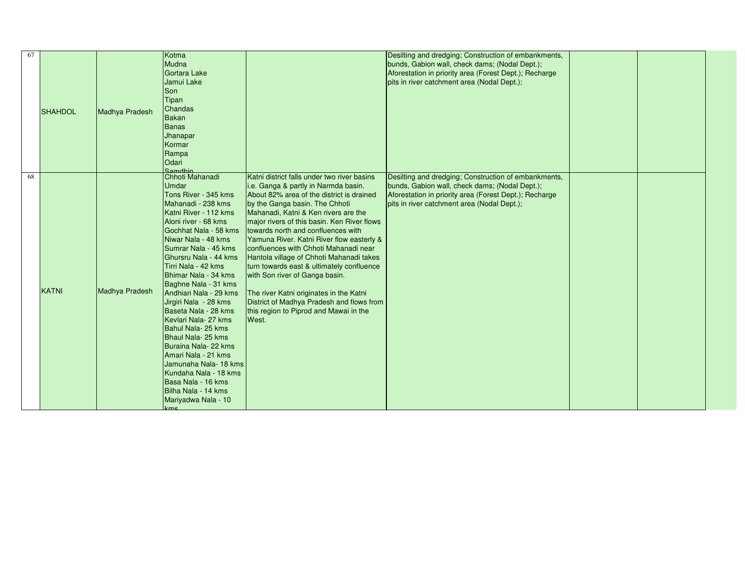|                |              | Kotma                            |                                                                                                                                                                                                                                                                                                                                                                                                                                                                                                                                                                                                                                                                                        | Desilting and dredging; Construction of embankments,                                                                                                                                                                                                                                                                                                                                                                                                                                                                                                                                                           |                                                                                                                                                                                                                                                                                                                                                                       |  |
|----------------|--------------|----------------------------------|----------------------------------------------------------------------------------------------------------------------------------------------------------------------------------------------------------------------------------------------------------------------------------------------------------------------------------------------------------------------------------------------------------------------------------------------------------------------------------------------------------------------------------------------------------------------------------------------------------------------------------------------------------------------------------------|----------------------------------------------------------------------------------------------------------------------------------------------------------------------------------------------------------------------------------------------------------------------------------------------------------------------------------------------------------------------------------------------------------------------------------------------------------------------------------------------------------------------------------------------------------------------------------------------------------------|-----------------------------------------------------------------------------------------------------------------------------------------------------------------------------------------------------------------------------------------------------------------------------------------------------------------------------------------------------------------------|--|
|                |              |                                  |                                                                                                                                                                                                                                                                                                                                                                                                                                                                                                                                                                                                                                                                                        |                                                                                                                                                                                                                                                                                                                                                                                                                                                                                                                                                                                                                |                                                                                                                                                                                                                                                                                                                                                                       |  |
| <b>SHAHDOL</b> |              |                                  |                                                                                                                                                                                                                                                                                                                                                                                                                                                                                                                                                                                                                                                                                        |                                                                                                                                                                                                                                                                                                                                                                                                                                                                                                                                                                                                                |                                                                                                                                                                                                                                                                                                                                                                       |  |
|                |              |                                  |                                                                                                                                                                                                                                                                                                                                                                                                                                                                                                                                                                                                                                                                                        |                                                                                                                                                                                                                                                                                                                                                                                                                                                                                                                                                                                                                |                                                                                                                                                                                                                                                                                                                                                                       |  |
|                |              |                                  |                                                                                                                                                                                                                                                                                                                                                                                                                                                                                                                                                                                                                                                                                        |                                                                                                                                                                                                                                                                                                                                                                                                                                                                                                                                                                                                                |                                                                                                                                                                                                                                                                                                                                                                       |  |
|                |              |                                  |                                                                                                                                                                                                                                                                                                                                                                                                                                                                                                                                                                                                                                                                                        |                                                                                                                                                                                                                                                                                                                                                                                                                                                                                                                                                                                                                |                                                                                                                                                                                                                                                                                                                                                                       |  |
|                |              |                                  |                                                                                                                                                                                                                                                                                                                                                                                                                                                                                                                                                                                                                                                                                        |                                                                                                                                                                                                                                                                                                                                                                                                                                                                                                                                                                                                                |                                                                                                                                                                                                                                                                                                                                                                       |  |
|                |              |                                  |                                                                                                                                                                                                                                                                                                                                                                                                                                                                                                                                                                                                                                                                                        |                                                                                                                                                                                                                                                                                                                                                                                                                                                                                                                                                                                                                |                                                                                                                                                                                                                                                                                                                                                                       |  |
|                |              |                                  |                                                                                                                                                                                                                                                                                                                                                                                                                                                                                                                                                                                                                                                                                        |                                                                                                                                                                                                                                                                                                                                                                                                                                                                                                                                                                                                                |                                                                                                                                                                                                                                                                                                                                                                       |  |
|                |              |                                  |                                                                                                                                                                                                                                                                                                                                                                                                                                                                                                                                                                                                                                                                                        |                                                                                                                                                                                                                                                                                                                                                                                                                                                                                                                                                                                                                |                                                                                                                                                                                                                                                                                                                                                                       |  |
|                |              |                                  |                                                                                                                                                                                                                                                                                                                                                                                                                                                                                                                                                                                                                                                                                        |                                                                                                                                                                                                                                                                                                                                                                                                                                                                                                                                                                                                                |                                                                                                                                                                                                                                                                                                                                                                       |  |
|                |              |                                  |                                                                                                                                                                                                                                                                                                                                                                                                                                                                                                                                                                                                                                                                                        |                                                                                                                                                                                                                                                                                                                                                                                                                                                                                                                                                                                                                |                                                                                                                                                                                                                                                                                                                                                                       |  |
|                |              |                                  |                                                                                                                                                                                                                                                                                                                                                                                                                                                                                                                                                                                                                                                                                        |                                                                                                                                                                                                                                                                                                                                                                                                                                                                                                                                                                                                                |                                                                                                                                                                                                                                                                                                                                                                       |  |
|                |              | <b>Odari</b>                     |                                                                                                                                                                                                                                                                                                                                                                                                                                                                                                                                                                                                                                                                                        |                                                                                                                                                                                                                                                                                                                                                                                                                                                                                                                                                                                                                |                                                                                                                                                                                                                                                                                                                                                                       |  |
|                |              | Samdbin                          |                                                                                                                                                                                                                                                                                                                                                                                                                                                                                                                                                                                                                                                                                        |                                                                                                                                                                                                                                                                                                                                                                                                                                                                                                                                                                                                                |                                                                                                                                                                                                                                                                                                                                                                       |  |
|                |              |                                  |                                                                                                                                                                                                                                                                                                                                                                                                                                                                                                                                                                                                                                                                                        |                                                                                                                                                                                                                                                                                                                                                                                                                                                                                                                                                                                                                |                                                                                                                                                                                                                                                                                                                                                                       |  |
|                |              | Umdar                            |                                                                                                                                                                                                                                                                                                                                                                                                                                                                                                                                                                                                                                                                                        | bunds, Gabion wall, check dams; (Nodal Dept.);                                                                                                                                                                                                                                                                                                                                                                                                                                                                                                                                                                 |                                                                                                                                                                                                                                                                                                                                                                       |  |
|                |              | Tons River - 345 kms             |                                                                                                                                                                                                                                                                                                                                                                                                                                                                                                                                                                                                                                                                                        |                                                                                                                                                                                                                                                                                                                                                                                                                                                                                                                                                                                                                |                                                                                                                                                                                                                                                                                                                                                                       |  |
|                |              |                                  |                                                                                                                                                                                                                                                                                                                                                                                                                                                                                                                                                                                                                                                                                        |                                                                                                                                                                                                                                                                                                                                                                                                                                                                                                                                                                                                                |                                                                                                                                                                                                                                                                                                                                                                       |  |
|                |              |                                  |                                                                                                                                                                                                                                                                                                                                                                                                                                                                                                                                                                                                                                                                                        |                                                                                                                                                                                                                                                                                                                                                                                                                                                                                                                                                                                                                |                                                                                                                                                                                                                                                                                                                                                                       |  |
|                |              |                                  |                                                                                                                                                                                                                                                                                                                                                                                                                                                                                                                                                                                                                                                                                        |                                                                                                                                                                                                                                                                                                                                                                                                                                                                                                                                                                                                                |                                                                                                                                                                                                                                                                                                                                                                       |  |
|                |              |                                  |                                                                                                                                                                                                                                                                                                                                                                                                                                                                                                                                                                                                                                                                                        |                                                                                                                                                                                                                                                                                                                                                                                                                                                                                                                                                                                                                |                                                                                                                                                                                                                                                                                                                                                                       |  |
|                |              |                                  |                                                                                                                                                                                                                                                                                                                                                                                                                                                                                                                                                                                                                                                                                        |                                                                                                                                                                                                                                                                                                                                                                                                                                                                                                                                                                                                                |                                                                                                                                                                                                                                                                                                                                                                       |  |
|                |              |                                  |                                                                                                                                                                                                                                                                                                                                                                                                                                                                                                                                                                                                                                                                                        |                                                                                                                                                                                                                                                                                                                                                                                                                                                                                                                                                                                                                |                                                                                                                                                                                                                                                                                                                                                                       |  |
|                |              |                                  |                                                                                                                                                                                                                                                                                                                                                                                                                                                                                                                                                                                                                                                                                        |                                                                                                                                                                                                                                                                                                                                                                                                                                                                                                                                                                                                                |                                                                                                                                                                                                                                                                                                                                                                       |  |
|                |              |                                  |                                                                                                                                                                                                                                                                                                                                                                                                                                                                                                                                                                                                                                                                                        |                                                                                                                                                                                                                                                                                                                                                                                                                                                                                                                                                                                                                |                                                                                                                                                                                                                                                                                                                                                                       |  |
|                |              |                                  |                                                                                                                                                                                                                                                                                                                                                                                                                                                                                                                                                                                                                                                                                        |                                                                                                                                                                                                                                                                                                                                                                                                                                                                                                                                                                                                                |                                                                                                                                                                                                                                                                                                                                                                       |  |
|                |              |                                  |                                                                                                                                                                                                                                                                                                                                                                                                                                                                                                                                                                                                                                                                                        |                                                                                                                                                                                                                                                                                                                                                                                                                                                                                                                                                                                                                |                                                                                                                                                                                                                                                                                                                                                                       |  |
|                |              |                                  |                                                                                                                                                                                                                                                                                                                                                                                                                                                                                                                                                                                                                                                                                        |                                                                                                                                                                                                                                                                                                                                                                                                                                                                                                                                                                                                                |                                                                                                                                                                                                                                                                                                                                                                       |  |
|                |              |                                  |                                                                                                                                                                                                                                                                                                                                                                                                                                                                                                                                                                                                                                                                                        |                                                                                                                                                                                                                                                                                                                                                                                                                                                                                                                                                                                                                |                                                                                                                                                                                                                                                                                                                                                                       |  |
|                |              |                                  |                                                                                                                                                                                                                                                                                                                                                                                                                                                                                                                                                                                                                                                                                        |                                                                                                                                                                                                                                                                                                                                                                                                                                                                                                                                                                                                                |                                                                                                                                                                                                                                                                                                                                                                       |  |
|                |              |                                  |                                                                                                                                                                                                                                                                                                                                                                                                                                                                                                                                                                                                                                                                                        |                                                                                                                                                                                                                                                                                                                                                                                                                                                                                                                                                                                                                |                                                                                                                                                                                                                                                                                                                                                                       |  |
|                |              |                                  |                                                                                                                                                                                                                                                                                                                                                                                                                                                                                                                                                                                                                                                                                        |                                                                                                                                                                                                                                                                                                                                                                                                                                                                                                                                                                                                                |                                                                                                                                                                                                                                                                                                                                                                       |  |
|                |              |                                  |                                                                                                                                                                                                                                                                                                                                                                                                                                                                                                                                                                                                                                                                                        |                                                                                                                                                                                                                                                                                                                                                                                                                                                                                                                                                                                                                |                                                                                                                                                                                                                                                                                                                                                                       |  |
|                |              |                                  |                                                                                                                                                                                                                                                                                                                                                                                                                                                                                                                                                                                                                                                                                        |                                                                                                                                                                                                                                                                                                                                                                                                                                                                                                                                                                                                                |                                                                                                                                                                                                                                                                                                                                                                       |  |
|                |              |                                  |                                                                                                                                                                                                                                                                                                                                                                                                                                                                                                                                                                                                                                                                                        |                                                                                                                                                                                                                                                                                                                                                                                                                                                                                                                                                                                                                |                                                                                                                                                                                                                                                                                                                                                                       |  |
|                |              |                                  |                                                                                                                                                                                                                                                                                                                                                                                                                                                                                                                                                                                                                                                                                        |                                                                                                                                                                                                                                                                                                                                                                                                                                                                                                                                                                                                                |                                                                                                                                                                                                                                                                                                                                                                       |  |
|                |              |                                  |                                                                                                                                                                                                                                                                                                                                                                                                                                                                                                                                                                                                                                                                                        |                                                                                                                                                                                                                                                                                                                                                                                                                                                                                                                                                                                                                |                                                                                                                                                                                                                                                                                                                                                                       |  |
|                |              |                                  |                                                                                                                                                                                                                                                                                                                                                                                                                                                                                                                                                                                                                                                                                        |                                                                                                                                                                                                                                                                                                                                                                                                                                                                                                                                                                                                                |                                                                                                                                                                                                                                                                                                                                                                       |  |
|                |              | Kundaha Nala - 18 kms            |                                                                                                                                                                                                                                                                                                                                                                                                                                                                                                                                                                                                                                                                                        |                                                                                                                                                                                                                                                                                                                                                                                                                                                                                                                                                                                                                |                                                                                                                                                                                                                                                                                                                                                                       |  |
|                |              |                                  |                                                                                                                                                                                                                                                                                                                                                                                                                                                                                                                                                                                                                                                                                        |                                                                                                                                                                                                                                                                                                                                                                                                                                                                                                                                                                                                                |                                                                                                                                                                                                                                                                                                                                                                       |  |
|                |              |                                  |                                                                                                                                                                                                                                                                                                                                                                                                                                                                                                                                                                                                                                                                                        |                                                                                                                                                                                                                                                                                                                                                                                                                                                                                                                                                                                                                |                                                                                                                                                                                                                                                                                                                                                                       |  |
|                |              |                                  |                                                                                                                                                                                                                                                                                                                                                                                                                                                                                                                                                                                                                                                                                        |                                                                                                                                                                                                                                                                                                                                                                                                                                                                                                                                                                                                                |                                                                                                                                                                                                                                                                                                                                                                       |  |
|                |              |                                  |                                                                                                                                                                                                                                                                                                                                                                                                                                                                                                                                                                                                                                                                                        |                                                                                                                                                                                                                                                                                                                                                                                                                                                                                                                                                                                                                |                                                                                                                                                                                                                                                                                                                                                                       |  |
|                | <b>KATNI</b> | Madhya Pradesh<br>Madhya Pradesh | Mudna<br>Gortara Lake<br>Jamui Lake<br>Son<br>Tipan<br><b>Chandas</b><br><b>Bakan</b><br>Banas<br>Jhanapar<br>Kormar<br>Rampa<br>Chhoti Mahanadi<br>Mahanadi - 238 kms<br>Katni River - 112 kms<br>Aloni river - 68 kms<br>Gochhat Nala - 58 kms<br>Niwar Nala - 48 kms<br>Sumrar Nala - 45 kms<br>Ghursru Nala - 44 kms<br>Tirri Nala - 42 kms<br>Bhimar Nala - 34 kms<br>Baghne Nala - 31 kms<br>Andhiari Nala - 29 kms<br>Jirgiri Nala - 28 kms<br>Baseta Nala - 28 kms<br>Kevlari Nala- 27 kms<br>Bahul Nala-25 kms<br>Bhaul Nala-25 kms<br>Buraina Nala-22 kms<br>Amari Nala - 21 kms<br>Jamunaha Nala-18 kms<br>Basa Nala - 16 kms<br>Bilha Nala - 14 kms<br>Mariyadwa Nala - 10 | Katni district falls under two river basins<br>i.e. Ganga & partly in Narmda basin.<br>About 82% area of the district is drained<br>by the Ganga basin. The Chhoti<br>Mahanadi, Katni & Ken rivers are the<br>major rivers of this basin. Ken River flows<br>towards north and confluences with<br>Yamuna River. Katni River flow easterly &<br>confluences with Chhoti Mahanadi near<br>Hantola village of Chhoti Mahanadi takes<br>turn towards east & ultimately confluence<br>with Son river of Ganga basin.<br>The river Katni originates in the Katni<br>this region to Piprod and Mawai in the<br>West. | bunds, Gabion wall, check dams; (Nodal Dept.);<br>Aforestation in priority area (Forest Dept.); Recharge<br>pits in river catchment area (Nodal Dept.);<br>Desilting and dredging; Construction of embankments,<br>Aforestation in priority area (Forest Dept.); Recharge<br>pits in river catchment area (Nodal Dept.);<br>District of Madhya Pradesh and flows from |  |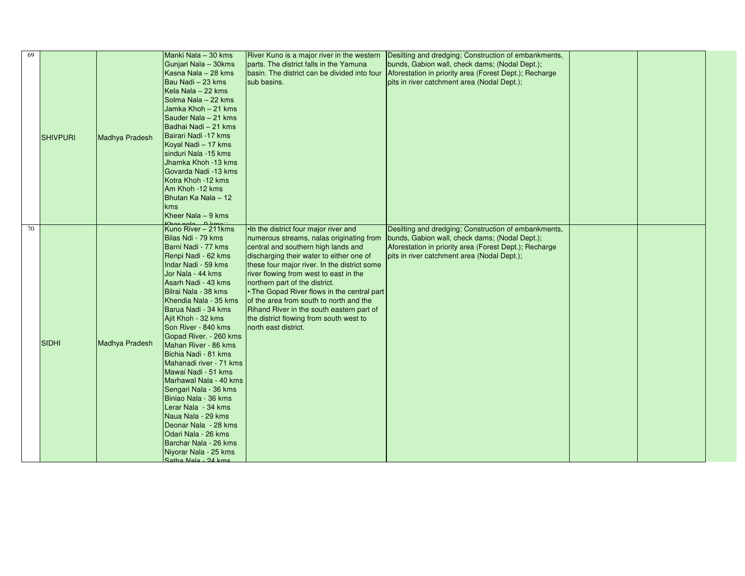| 69 | <b>SHIVPURI</b> | Madhya Pradesh | Manki Nala - 30 kms<br>Gunjari Nala - 30kms<br>Kasna Nala - 28 kms<br>Bau Nadi - 23 kms<br>Kela Nala - 22 kms<br>Solma Nala - 22 kms<br>Jamka Khoh - 21 kms<br>Sauder Nala - 21 kms<br>Badhai Nadi - 21 kms<br>Bairari Nadi -17 kms<br>Koyal Nadi - 17 kms<br>sinduri Nala -15 kms<br>Jhamka Khoh -13 kms<br>Govarda Nadi -13 kms<br>Kotra Khoh -12 kms<br>Am Khoh -12 kms<br>Bhutan Ka Nala - 12<br><b>kms</b><br>Kheer Nala - 9 kms                                                                                                                                                                                                                                          | River Kuno is a major river in the western<br>parts. The district falls in the Yamuna<br>basin. The district can be divided into four<br>sub basins.                                                                                                                                                                                                                                                                                                                                                       | Desilting and dredging; Construction of embankments,<br>bunds, Gabion wall, check dams; (Nodal Dept.);<br>Aforestation in priority area (Forest Dept.); Recharge<br>pits in river catchment area (Nodal Dept.); |  |  |
|----|-----------------|----------------|--------------------------------------------------------------------------------------------------------------------------------------------------------------------------------------------------------------------------------------------------------------------------------------------------------------------------------------------------------------------------------------------------------------------------------------------------------------------------------------------------------------------------------------------------------------------------------------------------------------------------------------------------------------------------------|------------------------------------------------------------------------------------------------------------------------------------------------------------------------------------------------------------------------------------------------------------------------------------------------------------------------------------------------------------------------------------------------------------------------------------------------------------------------------------------------------------|-----------------------------------------------------------------------------------------------------------------------------------------------------------------------------------------------------------------|--|--|
| 70 | <b>SIDHI</b>    | Madhya Pradesh | Khor pela A kmo<br>Kuno River – 211kms<br>Bilas Ndi - 79 kms<br>Barni Nadi - 77 kms<br>Renpi Nadi - 62 kms<br>Indar Nadi - 59 kms<br>Jor Nala - 44 kms<br>Asarh Nadi - 43 kms<br>Bilrai Nala - 38 kms<br>Khendia Nala - 35 kms<br>Barua Nadi - 34 kms<br>Ajit Khoh - 32 kms<br>Son River - 840 kms<br>Gopad River. - 260 kms<br>Mahan River - 86 kms<br>Bichia Nadi - 81 kms<br>Mahanadi river - 71 kms<br>Mawai Nadi - 51 kms<br>Marhawal Nala - 40 kms<br>Sengari Nala - 36 kms<br>Biniao Nala - 36 kms<br>Lerar Nala - 34 kms<br>Naua Nala - 29 kms<br>Deonar Nala - 28 kms<br>Odari Nala - 26 kms<br>Barchar Nala - 26 kms<br>Niyorar Nala - 25 kms<br>Satha Nala - 24 kms | . In the district four major river and<br>numerous streams, nalas originating from<br>central and southern high lands and<br>discharging their water to either one of<br>these four major river. In the district some<br>river flowing from west to east in the<br>northern part of the district.<br>•The Gopad River flows in the central part<br>of the area from south to north and the<br>Rihand River in the south eastern part of<br>the district flowing from south west to<br>north east district. | Desilting and dredging; Construction of embankments,<br>bunds, Gabion wall, check dams; (Nodal Dept.);<br>Aforestation in priority area (Forest Dept.); Recharge<br>pits in river catchment area (Nodal Dept.); |  |  |